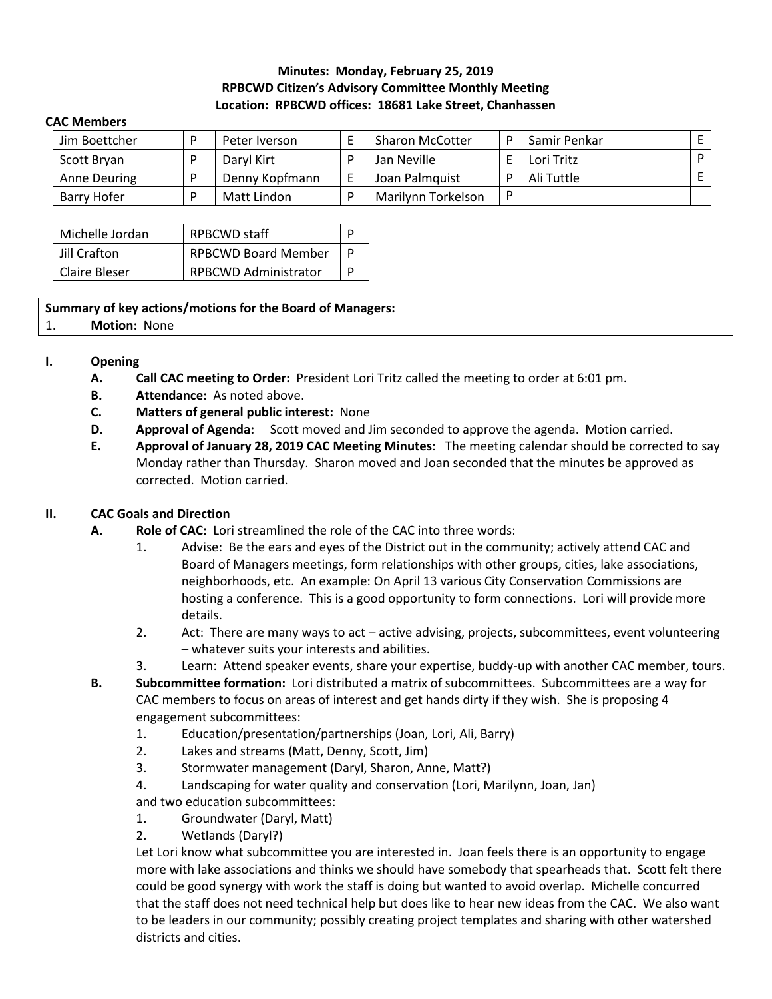# **Minutes: Monday, February 25, 2019 RPBCWD Citizen's Advisory Committee Monthly Meeting Location: RPBCWD offices: 18681 Lake Street, Chanhassen**

#### **CAC Members**

| Jim Boettcher | Peter Iverson  | <b>Sharon McCotter</b> | D  | Samir Penkar |  |
|---------------|----------------|------------------------|----|--------------|--|
| Scott Bryan   | Daryl Kirt     | Jan Neville            |    | Lori Tritz   |  |
| Anne Deuring  | Denny Kopfmann | Joan Palmquist         | D. | Ali Tuttle   |  |
| Barry Hofer   | Matt Lindon    | Marilynn Torkelson     | D  |              |  |

| Michelle Jordan | RPBCWD staff                |  |  |
|-----------------|-----------------------------|--|--|
| Jill Crafton    | <b>RPBCWD Board Member</b>  |  |  |
| Claire Bleser   | <b>RPBCWD Administrator</b> |  |  |

### **Summary of key actions/motions for the Board of Managers:**

#### 1. **Motion:** None

### **I. Opening**

- **A. Call CAC meeting to Order:** President Lori Tritz called the meeting to order at 6:01 pm.
- **B. Attendance:** As noted above.
- **C. Matters of general public interest:** None
- **D. Approval of Agenda:** Scott moved and Jim seconded to approve the agenda. Motion carried.
- **E. Approval of January 28, 2019 CAC Meeting Minutes**: The meeting calendar should be corrected to say Monday rather than Thursday. Sharon moved and Joan seconded that the minutes be approved as corrected. Motion carried.

# **II. CAC Goals and Direction**

- **A. Role of CAC:** Lori streamlined the role of the CAC into three words:
	- 1. Advise: Be the ears and eyes of the District out in the community; actively attend CAC and Board of Managers meetings, form relationships with other groups, cities, lake associations, neighborhoods, etc. An example: On April 13 various City Conservation Commissions are hosting a conference. This is a good opportunity to form connections. Lori will provide more details.
	- 2. Act: There are many ways to act active advising, projects, subcommittees, event volunteering – whatever suits your interests and abilities.
	- 3. Learn: Attend speaker events, share your expertise, buddy-up with another CAC member, tours.
- **B. Subcommittee formation:** Lori distributed a matrix of subcommittees. Subcommittees are a way for CAC members to focus on areas of interest and get hands dirty if they wish. She is proposing 4 engagement subcommittees:
	- 1. Education/presentation/partnerships (Joan, Lori, Ali, Barry)
	- 2. Lakes and streams (Matt, Denny, Scott, Jim)
	- 3. Stormwater management (Daryl, Sharon, Anne, Matt?)
	- 4. Landscaping for water quality and conservation (Lori, Marilynn, Joan, Jan)
	- and two education subcommittees:
	- 1. Groundwater (Daryl, Matt)
	- 2. Wetlands (Daryl?)

Let Lori know what subcommittee you are interested in. Joan feels there is an opportunity to engage more with lake associations and thinks we should have somebody that spearheads that. Scott felt there could be good synergy with work the staff is doing but wanted to avoid overlap. Michelle concurred that the staff does not need technical help but does like to hear new ideas from the CAC. We also want to be leaders in our community; possibly creating project templates and sharing with other watershed districts and cities.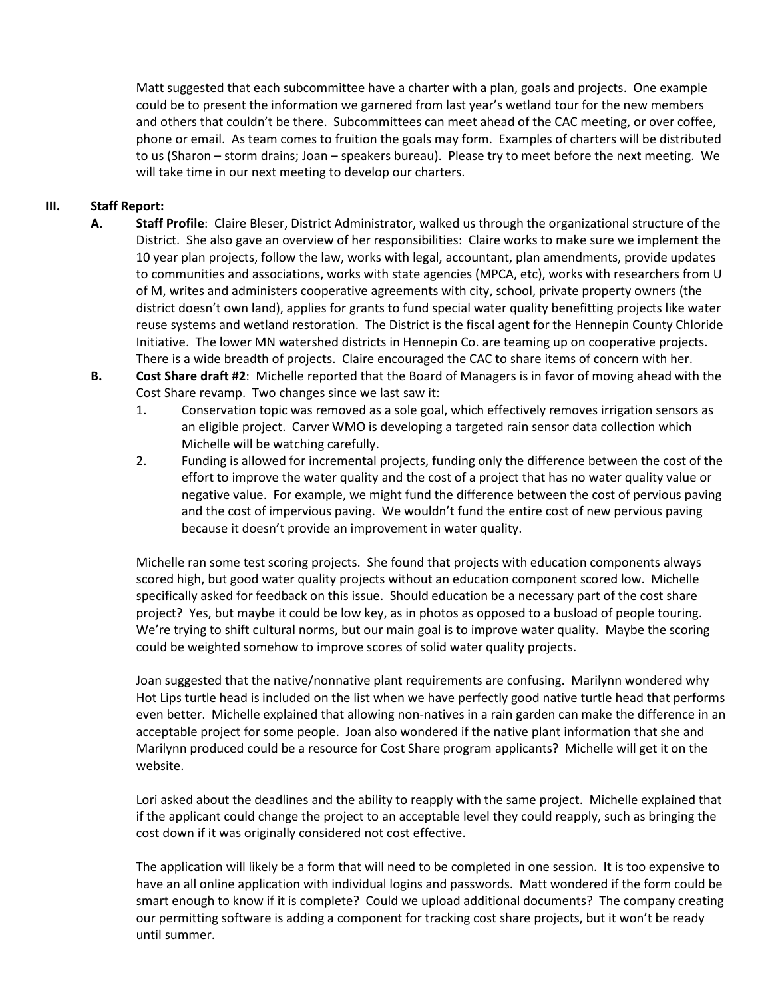Matt suggested that each subcommittee have a charter with a plan, goals and projects. One example could be to present the information we garnered from last year's wetland tour for the new members and others that couldn't be there. Subcommittees can meet ahead of the CAC meeting, or over coffee, phone or email. As team comes to fruition the goals may form. Examples of charters will be distributed to us (Sharon – storm drains; Joan – speakers bureau). Please try to meet before the next meeting. We will take time in our next meeting to develop our charters.

### **III. Staff Report:**

- **A. Staff Profile**: Claire Bleser, District Administrator, walked us through the organizational structure of the District. She also gave an overview of her responsibilities: Claire works to make sure we implement the 10 year plan projects, follow the law, works with legal, accountant, plan amendments, provide updates to communities and associations, works with state agencies (MPCA, etc), works with researchers from U of M, writes and administers cooperative agreements with city, school, private property owners (the district doesn't own land), applies for grants to fund special water quality benefitting projects like water reuse systems and wetland restoration. The District is the fiscal agent for the Hennepin County Chloride Initiative. The lower MN watershed districts in Hennepin Co. are teaming up on cooperative projects. There is a wide breadth of projects. Claire encouraged the CAC to share items of concern with her.
- **B. Cost Share draft #2**: Michelle reported that the Board of Managers is in favor of moving ahead with the Cost Share revamp. Two changes since we last saw it:
	- 1. Conservation topic was removed as a sole goal, which effectively removes irrigation sensors as an eligible project. Carver WMO is developing a targeted rain sensor data collection which Michelle will be watching carefully.
	- 2. Funding is allowed for incremental projects, funding only the difference between the cost of the effort to improve the water quality and the cost of a project that has no water quality value or negative value. For example, we might fund the difference between the cost of pervious paving and the cost of impervious paving. We wouldn't fund the entire cost of new pervious paving because it doesn't provide an improvement in water quality.

Michelle ran some test scoring projects. She found that projects with education components always scored high, but good water quality projects without an education component scored low. Michelle specifically asked for feedback on this issue. Should education be a necessary part of the cost share project? Yes, but maybe it could be low key, as in photos as opposed to a busload of people touring. We're trying to shift cultural norms, but our main goal is to improve water quality. Maybe the scoring could be weighted somehow to improve scores of solid water quality projects.

Joan suggested that the native/nonnative plant requirements are confusing. Marilynn wondered why Hot Lips turtle head is included on the list when we have perfectly good native turtle head that performs even better. Michelle explained that allowing non-natives in a rain garden can make the difference in an acceptable project for some people. Joan also wondered if the native plant information that she and Marilynn produced could be a resource for Cost Share program applicants? Michelle will get it on the website.

Lori asked about the deadlines and the ability to reapply with the same project. Michelle explained that if the applicant could change the project to an acceptable level they could reapply, such as bringing the cost down if it was originally considered not cost effective.

The application will likely be a form that will need to be completed in one session. It is too expensive to have an all online application with individual logins and passwords. Matt wondered if the form could be smart enough to know if it is complete? Could we upload additional documents? The company creating our permitting software is adding a component for tracking cost share projects, but it won't be ready until summer.